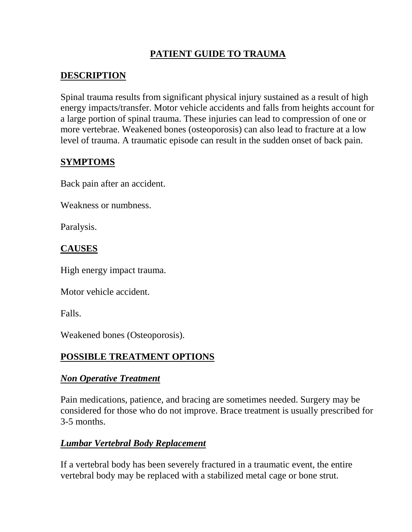## **PATIENT GUIDE TO TRAUMA**

## **DESCRIPTION**

Spinal trauma results from significant physical injury sustained as a result of high energy impacts/transfer. Motor vehicle accidents and falls from heights account for a large portion of spinal trauma. These injuries can lead to compression of one or more vertebrae. Weakened bones (osteoporosis) can also lead to fracture at a low level of trauma. A traumatic episode can result in the sudden onset of back pain.

## **SYMPTOMS**

Back pain after an accident.

Weakness or numbness.

Paralysis.

# **CAUSES**

High energy impact trauma.

Motor vehicle accident.

Falls.

Weakened bones (Osteoporosis).

# **POSSIBLE TREATMENT OPTIONS**

## *Non Operative Treatment*

Pain medications, patience, and bracing are sometimes needed. Surgery may be considered for those who do not improve. Brace treatment is usually prescribed for 3-5 months.

## *Lumbar Vertebral Body Replacement*

If a vertebral body has been severely fractured in a traumatic event, the entire vertebral body may be replaced with a stabilized metal cage or bone strut.